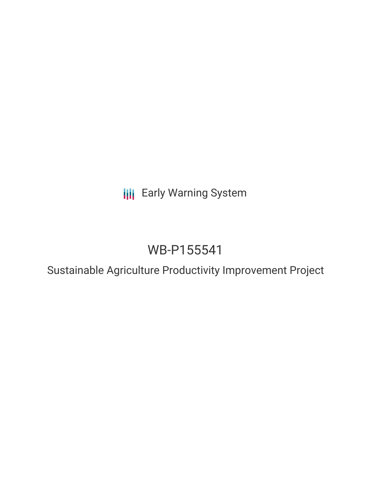**III** Early Warning System

# WB-P155541

Sustainable Agriculture Productivity Improvement Project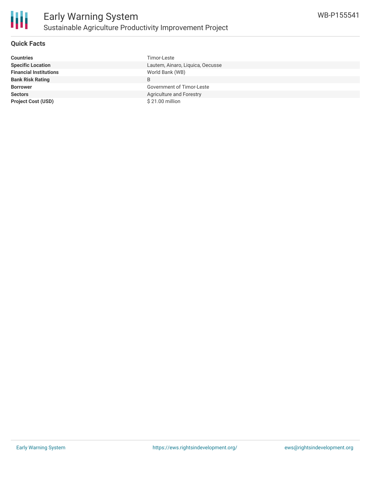

#### **Quick Facts**

| <b>Countries</b>              | Timor-Leste                      |  |
|-------------------------------|----------------------------------|--|
| <b>Specific Location</b>      | Lautem, Ainaro, Liquica, Oecusse |  |
| <b>Financial Institutions</b> | World Bank (WB)                  |  |
| <b>Bank Risk Rating</b>       | B                                |  |
| <b>Borrower</b>               | Government of Timor-Leste        |  |
| <b>Sectors</b>                | Agriculture and Forestry         |  |
| <b>Project Cost (USD)</b>     | \$21.00 million                  |  |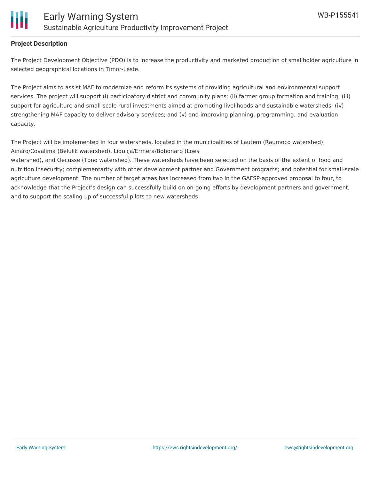

#### **Project Description**

The Project Development Objective (PDO) is to increase the productivity and marketed production of smallholder agriculture in selected geographical locations in Timor-Leste.

The Project aims to assist MAF to modernize and reform its systems of providing agricultural and environmental support services. The project will support (i) participatory district and community plans; (ii) farmer group formation and training; (iii) support for agriculture and small-scale rural investments aimed at promoting livelihoods and sustainable watersheds; (iv) strengthening MAF capacity to deliver advisory services; and (v) and improving planning, programming, and evaluation capacity.

The Project will be implemented in four watersheds, located in the municipalities of Lautem (Raumoco watershed), Ainaro/Covalima (Belulik watershed), Liquiça/Ermera/Bobonaro (Loes

watershed), and Oecusse (Tono watershed). These watersheds have been selected on the basis of the extent of food and nutrition insecurity; complementarity with other development partner and Government programs; and potential for small-scale agriculture development. The number of target areas has increased from two in the GAFSP-approved proposal to four, to acknowledge that the Project's design can successfully build on on-going efforts by development partners and government; and to support the scaling up of successful pilots to new watersheds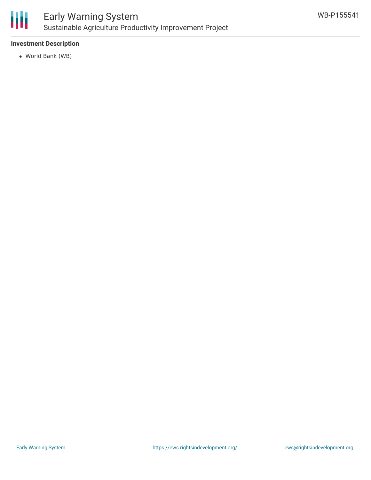

### Early Warning System Sustainable Agriculture Productivity Improvement Project

#### **Investment Description**

World Bank (WB)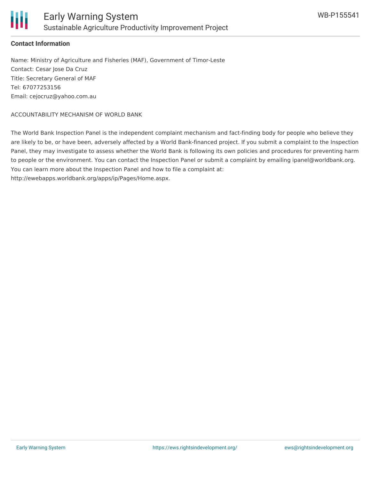

#### **Contact Information**

Name: Ministry of Agriculture and Fisheries (MAF), Government of Timor-Leste Contact: Cesar Jose Da Cruz Title: Secretary General of MAF Tel: 67077253156 Email: cejocruz@yahoo.com.au

#### ACCOUNTABILITY MECHANISM OF WORLD BANK

The World Bank Inspection Panel is the independent complaint mechanism and fact-finding body for people who believe they are likely to be, or have been, adversely affected by a World Bank-financed project. If you submit a complaint to the Inspection Panel, they may investigate to assess whether the World Bank is following its own policies and procedures for preventing harm to people or the environment. You can contact the Inspection Panel or submit a complaint by emailing ipanel@worldbank.org. You can learn more about the Inspection Panel and how to file a complaint at: http://ewebapps.worldbank.org/apps/ip/Pages/Home.aspx.